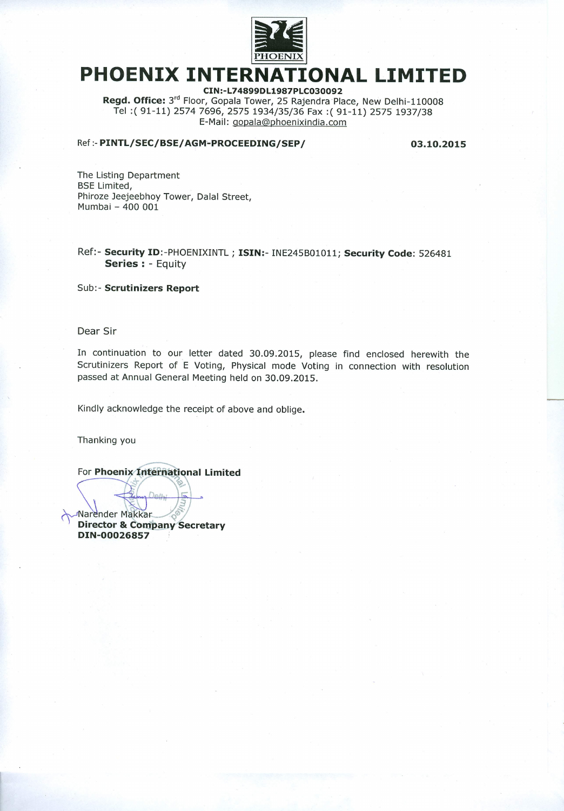

# PHOENIX INTERNATIONAL LIMITED

CIN:-L74899DL1987PLC030092

Regd. Office: 3rd Floor, Gopala Tower, 25 Rajendra Place, New Delhi-110008 Tel: (91-11) 2574 7696, 2575 1934/35/36 Fax: (91-11) 2575 1937/38 E-Mail: gopala@phoenixindia.com

#### Ref :- PINTL/SEC/BSE/AGM-PROCEEDING/SEP/

03.10.2015

The Listing Department **BSE Limited,** Phiroze Jeejeebhoy Tower, Dalal Street, Mumbai - 400 001

### Ref:- Security ID:-PHOENIXINTL ; ISIN:- INE245B01011; Security Code: 526481 Series : - Equity

Sub:- Scrutinizers Report

### Dear Sir

In continuation to our letter dated 30.09.2015, please find enclosed herewith the Scrutinizers Report of E Voting, Physical mode Voting in connection with resolution passed at Annual General Meeting held on 30.09.2015.

Kindly acknowledge the receipt of above and oblige.

Thanking you

For Phoenix International Limited

Narender Makkar **Director & Company Secretary** DIN-00026857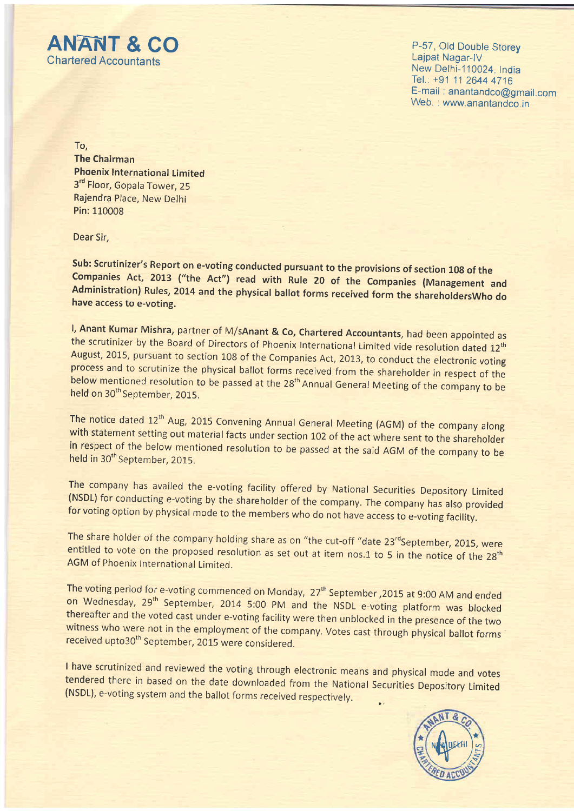**Chartered Accountants** 

ANANT & CO

P-57, Old Double Storey Lajpat Nagar-IV New Delhi-110024, India Tel.: +91 11 2644 4716 E-mail : anantandco@gmail.com Web. : www.anantandco.in

To,

The Chairman Phoenix International Limited 3<sup>rd</sup> Floor, Gopala Tower, 25 Rajendra Place, New Delhi Pin: 110008

Dear Sir,

Sub: Scrutinizer's Report on e-voting conducted pursuant to the provisions of section 108 of the Companies Act, 2013 ("the Act") read with Rule 20 of the Companies (Management and Administration) Rules, 2014 and the physic

I, Anant Kumar Mishra, partner of M/sAnant & Co, Chartered Accountants, had been appointed as the scrutinizer by the Board of Directors of Phoenix International Limited vide resolution dated  $12<sup>th</sup>$  August, 2015, purs process and to scruting from the physical and the status formulated in received from the solution of the company to be held on 30<sup>th</sup> September, 2015.

The notice dated  $12^{\text{th}}$  Aug, 2015 Convening Annual General Meeting (AGM) of the company along with statement setting out material facts under section 102 of the act where sent to the shareholder in respect of the belo

The company has availed the e-voting facility offered by National Securities Depository Limited (NSDL) for conducting e-voting by the shareholder of the company. The company has also provided for voting option by physical

The share holder of the company holding share as on "the cut-off "date  $23^{\text{rd}}$ September, 2015, were entitled to vote on the proposed resolution as set out at item nos.1 to 5 in the notice of the  $28^{\text{th}}$  AGM of Phoen

The voting period for e-voting commenced on Monday,  $27<sup>th</sup>$  September, 2015 at 9:00 AM and ended<br>on Wednesday,  $29<sup>th</sup>$  September, 2014 5:00 PM and the NSDL e-voting platform was blocked<br>thereafter and the voted ca

I have scrutinized and reviewed the voting through electronic means and physical mode and votes tendered there in based on the date downloaded from the National Securities Depository Limited (NSDL), e-voting system and the

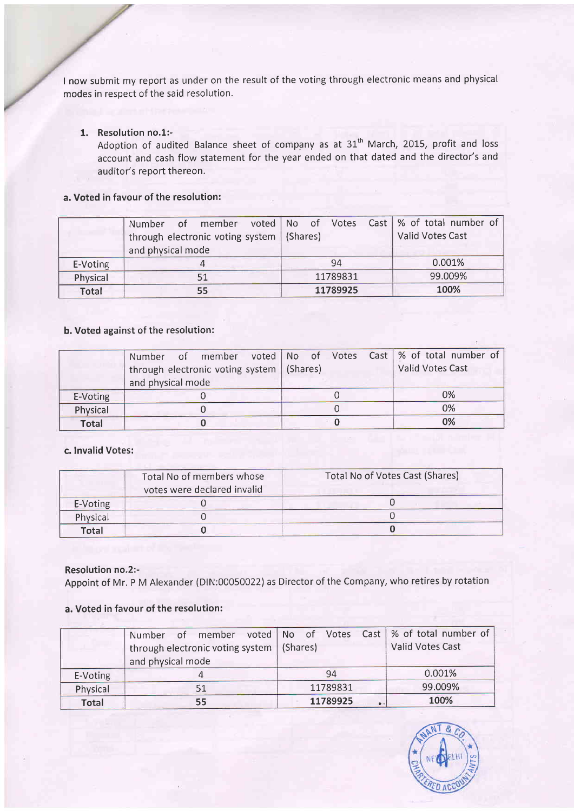I now submit my report as under on the result of the voting through electronic means and physica modes in respect of the said resolution.

### 1. Resolution no.1:-

Adoption of audited Balance sheet of company as at 31<sup>th</sup> March, 2015, profit and loss account and cash flow statement for the year ended on that dated and the director's and auditor's report thereon.

### a. Voted in favour of the resolution:

|              | Number of member voted No of Votes Cast % of total number of |          |                  |
|--------------|--------------------------------------------------------------|----------|------------------|
|              | through electronic voting system   (Shares)                  |          | Valid Votes Cast |
|              | and physical mode                                            |          |                  |
| E-Voting     |                                                              | 94       | 0.001%           |
| Physical     | 51                                                           | 11789831 | 99.009%          |
| <b>Total</b> | 55                                                           | 11789925 | 100%             |

### b. Voted against of the resolution:

|              | Number of member voted No of Votes Cast % of total number of |                  |
|--------------|--------------------------------------------------------------|------------------|
|              | through electronic voting system   (Shares)                  | Valid Votes Cast |
|              | and physical mode                                            |                  |
| E-Voting     |                                                              | 0%               |
| Physical     |                                                              | 0%               |
| <b>Total</b> |                                                              | 0%               |

### c. lnvalid Votes:

|          | Total No of members whose<br>votes were declared invalid | Total No of Votes Cast (Shares) |
|----------|----------------------------------------------------------|---------------------------------|
| E-Voting |                                                          |                                 |
| Physical |                                                          |                                 |
| Total    |                                                          |                                 |

### Resolution no.2:-

Appoint of Mr. P M Alexander (DlN:00050022) as Director of the Company, who retires by rotation

### a. Voted in favour of the resolution:

|          | Number of member voted No of Votes Cast % of total number of |          |                  |
|----------|--------------------------------------------------------------|----------|------------------|
|          | through electronic voting system   (Shares)                  |          | Valid Votes Cast |
|          | and physical mode                                            |          |                  |
| E-Voting |                                                              | 94       | 0.001%           |
| Physical | 51                                                           | 11789831 | 99.009%          |
| Total    | 55                                                           | 11789925 | 100%             |

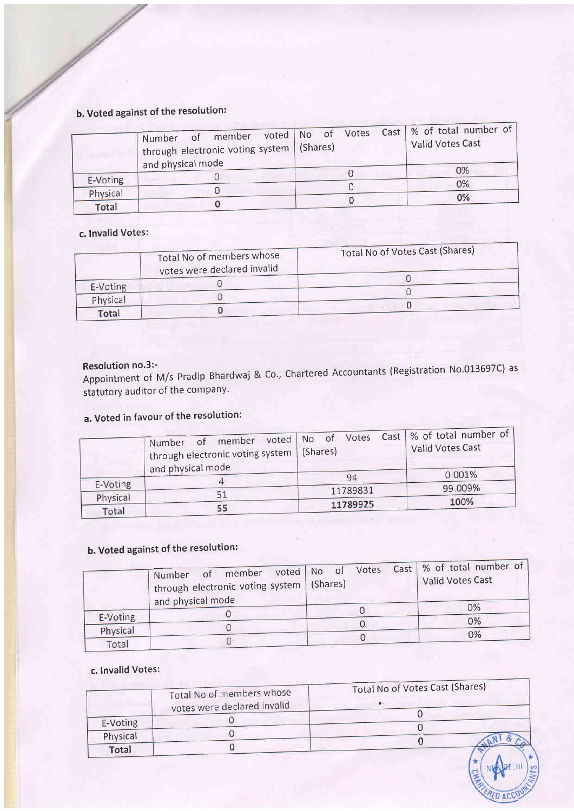## b. Voted against of the resolution:

|                      | Number of member voted No of Votes Cast   % of total number of<br>through electronic voting system   (Shares)<br>and physical mode |  | Valid Votes Cast |
|----------------------|------------------------------------------------------------------------------------------------------------------------------------|--|------------------|
|                      |                                                                                                                                    |  | 0%               |
| E-Voting<br>Physical |                                                                                                                                    |  | 0%               |
| Total                |                                                                                                                                    |  | 0%               |

### c.Invalid Votes:

|                   | Total No of members whose<br>votes were declared invalid | Total No of Votes Cast (Shares) |
|-------------------|----------------------------------------------------------|---------------------------------|
|                   |                                                          |                                 |
| E-Voting          |                                                          |                                 |
| Physical<br>Total |                                                          |                                 |

### Resolution no.3:-

Appointment of M/s Pradip Bhardwaj & Co., Chartered Accountants (Programme Construction Note statutory auditor of the company.

### a. Voted in favour of the resolution:

|          | Number<br>through electronic voting system<br>and physical mode | of member voted No of Votes Cast   % of total number of<br>(Shares) | Valid Votes Cast |
|----------|-----------------------------------------------------------------|---------------------------------------------------------------------|------------------|
|          |                                                                 | 94                                                                  | 0.001%           |
| E-Voting |                                                                 | 11789831                                                            | 99.009%          |
| Physical | 51                                                              |                                                                     | 100%             |
| Total    | 55                                                              | 11789925                                                            |                  |

## b. Voted against of the resolution:

|          | of member voted No of Votes Cast   % of total number of<br>Number<br>through electronic voting system | (Shares) |  | Valid Votes Cast |
|----------|-------------------------------------------------------------------------------------------------------|----------|--|------------------|
|          | and physical mode                                                                                     |          |  | 0%               |
| E-Voting |                                                                                                       |          |  | 0%               |
| Physical |                                                                                                       |          |  | 0%               |
| Total    |                                                                                                       |          |  |                  |

### c. Invalid Votes:

|          | Total No of members whose   | Total No of Votes Cast (Shares) |  |  |
|----------|-----------------------------|---------------------------------|--|--|
|          | votes were declared invalid |                                 |  |  |
| E-Voting |                             |                                 |  |  |
|          |                             |                                 |  |  |
| Physical |                             |                                 |  |  |
| Total    |                             |                                 |  |  |

 $D$  ac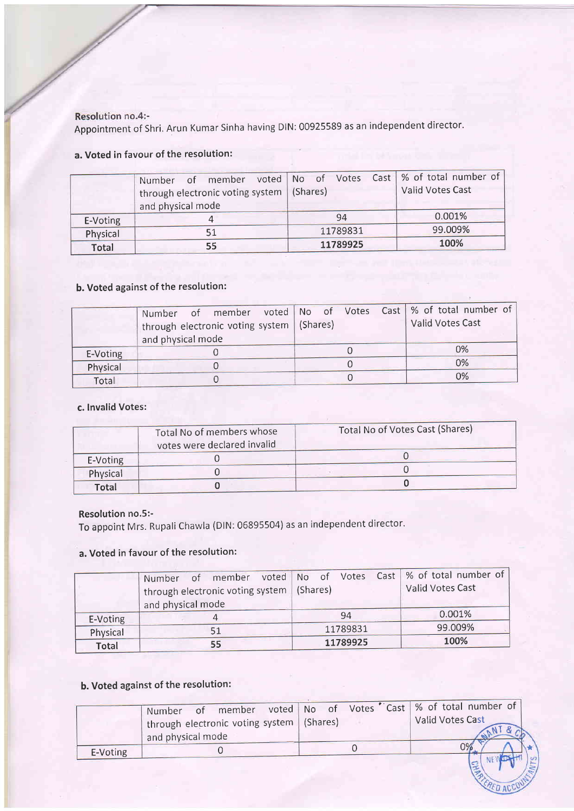### Resolution no.4:-

Appointment of Shri. Arun Kumar Sinha having DIN: 00925589 as an independent director.

### a. Voted in favour of the resolution:

|          | Number of member voted No of Votes Cast % of total number of<br>through electronic voting system  <br>and physical mode | (Shares) | Valid Votes Cast |
|----------|-------------------------------------------------------------------------------------------------------------------------|----------|------------------|
| E-Voting |                                                                                                                         | 94       | 0.001%           |
| Physical | 51                                                                                                                      | 11789831 | 99.009%          |
| Total    | 55                                                                                                                      | 11789925 | 100%             |

### b. Voted against of the resolution:

|          | Number of member voted No of Votes Cast   % of total number of<br>through electronic voting system   (Shares)<br>and physical mode |  | Valid Votes Cast |
|----------|------------------------------------------------------------------------------------------------------------------------------------|--|------------------|
| E-Voting |                                                                                                                                    |  | 0%               |
| Physical |                                                                                                                                    |  | 0%               |
| Total    |                                                                                                                                    |  | 0%               |

### c. Invalid Votes:

|              | Total No of members whose<br>votes were declared invalid | Total No of Votes Cast (Shares) |
|--------------|----------------------------------------------------------|---------------------------------|
| E-Voting     |                                                          |                                 |
| Physical     |                                                          |                                 |
| <b>Total</b> |                                                          |                                 |

### Resolution no.5:-

To appoint Mrs. Rupali Chawla (DIN: 06895504) as an independent director.

### a. Voted in favour of the resolution:

|          | <b>Number</b>                               | of member voted No of Votes Cast   % of total number of |                  |
|----------|---------------------------------------------|---------------------------------------------------------|------------------|
|          | through electronic voting system   (Shares) |                                                         | Valid Votes Cast |
|          | and physical mode                           |                                                         |                  |
| E-Voting |                                             | 94                                                      | 0.001%           |
| Physical | 51                                          | 11789831                                                | 99.009%          |
|          | 55                                          | 11789925                                                | 100%             |
| Total    |                                             |                                                         |                  |

### b. Voted against of the resolution:

|          | member<br>Number<br>0t<br>through electronic voting system   (Shares)<br>and physical mode | voted No of | Votes Cast   % of total number of<br>Valid Votes Cast |
|----------|--------------------------------------------------------------------------------------------|-------------|-------------------------------------------------------|
| E-Voting |                                                                                            |             | 0%                                                    |